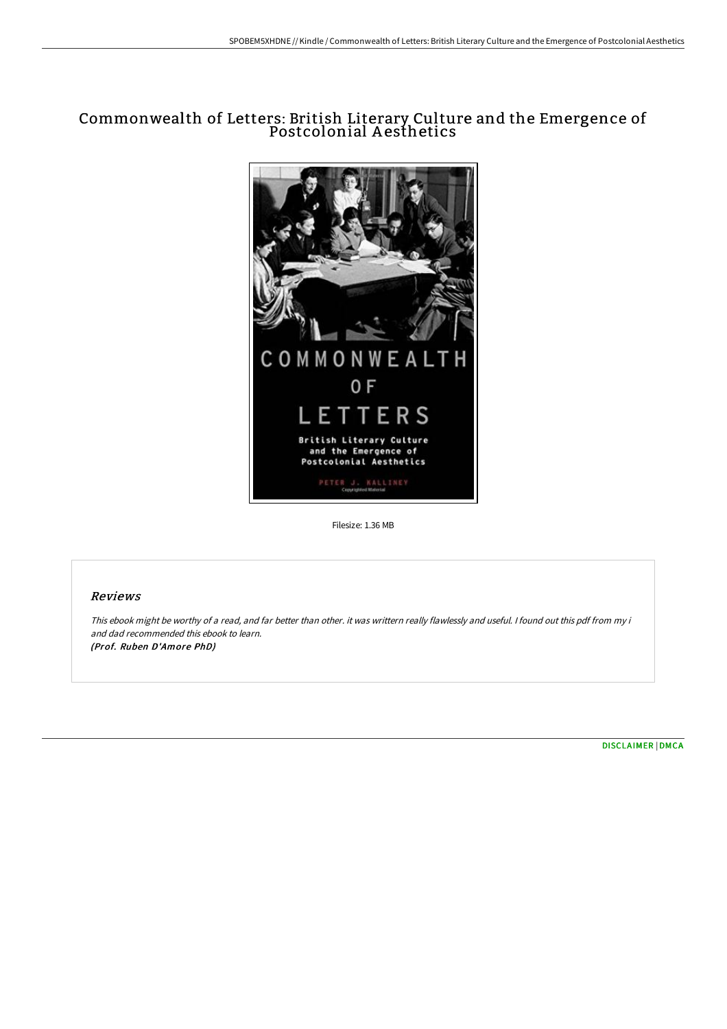## Commonwealth of Letters: British Literary Culture and the Emergence of Postcolonial A esthetics



Filesize: 1.36 MB

## Reviews

This ebook might be worthy of <sup>a</sup> read, and far better than other. it was writtern really flawlessly and useful. <sup>I</sup> found out this pdf from my i and dad recommended this ebook to learn. (Prof. Ruben D'Amore PhD)

[DISCLAIMER](http://techno-pub.tech/disclaimer.html) | [DMCA](http://techno-pub.tech/dmca.html)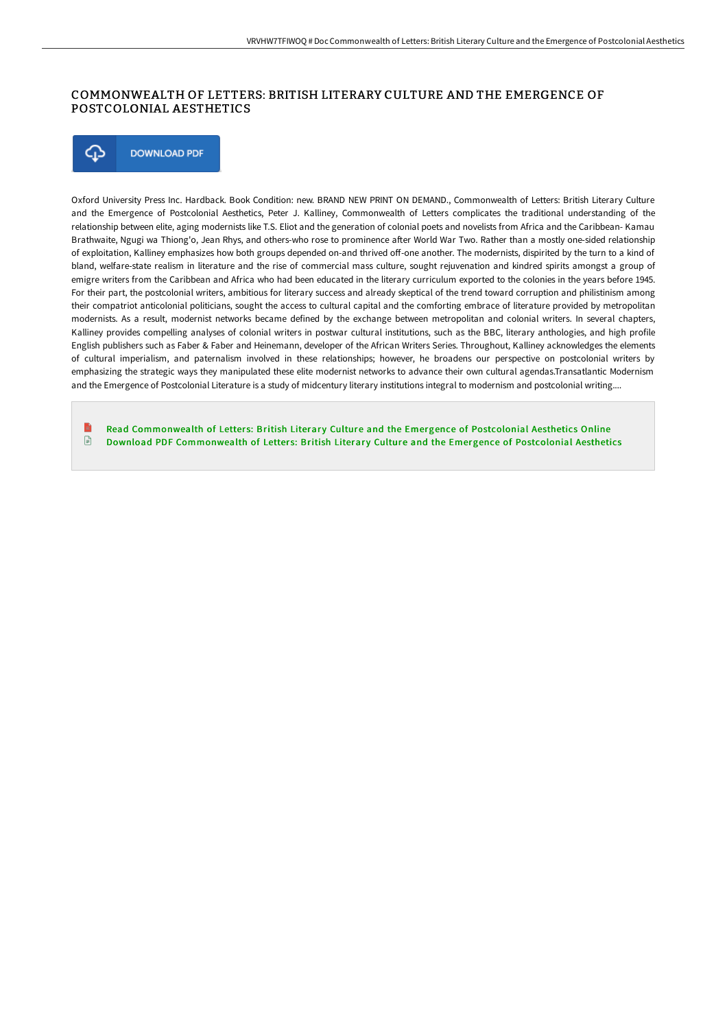## COMMONWEALTH OF LETTERS: BRITISH LITERARY CULTURE AND THE EMERGENCE OF POSTCOLONIAL AESTHETICS

⊕ **DOWNLOAD PDF** 

Oxford University Press Inc. Hardback. Book Condition: new. BRAND NEW PRINT ON DEMAND., Commonwealth of Letters: British Literary Culture and the Emergence of Postcolonial Aesthetics, Peter J. Kalliney, Commonwealth of Letters complicates the traditional understanding of the relationship between elite, aging modernists like T.S. Eliot and the generation of colonial poets and novelists from Africa and the Caribbean- Kamau Brathwaite, Ngugi wa Thiong'o, Jean Rhys, and others-who rose to prominence after World War Two. Rather than a mostly one-sided relationship of exploitation, Kalliney emphasizes how both groups depended on-and thrived off-one another. The modernists, dispirited by the turn to a kind of bland, welfare-state realism in literature and the rise of commercial mass culture, sought rejuvenation and kindred spirits amongst a group of emigre writers from the Caribbean and Africa who had been educated in the literary curriculum exported to the colonies in the years before 1945. For their part, the postcolonial writers, ambitious for literary success and already skeptical of the trend toward corruption and philistinism among their compatriot anticolonial politicians, sought the access to cultural capital and the comforting embrace of literature provided by metropolitan modernists. As a result, modernist networks became defined by the exchange between metropolitan and colonial writers. In several chapters, Kalliney provides compelling analyses of colonial writers in postwar cultural institutions, such as the BBC, literary anthologies, and high profile English publishers such as Faber & Faber and Heinemann, developer of the African Writers Series. Throughout, Kalliney acknowledges the elements of cultural imperialism, and paternalism involved in these relationships; however, he broadens our perspective on postcolonial writers by emphasizing the strategic ways they manipulated these elite modernist networks to advance their own cultural agendas.Transatlantic Modernism and the Emergence of Postcolonial Literature is a study of midcentury literary institutions integral to modernism and postcolonial writing....

Read [Commonwealth](http://techno-pub.tech/commonwealth-of-letters-british-literary-culture.html) of Letters: British Literary Culture and the Emergence of Postcolonial Aesthetics Online  $\mathbf{E}$ Download PDF [Commonwealth](http://techno-pub.tech/commonwealth-of-letters-british-literary-culture.html) of Letters: British Literary Culture and the Emergence of Postcolonial Aesthetics